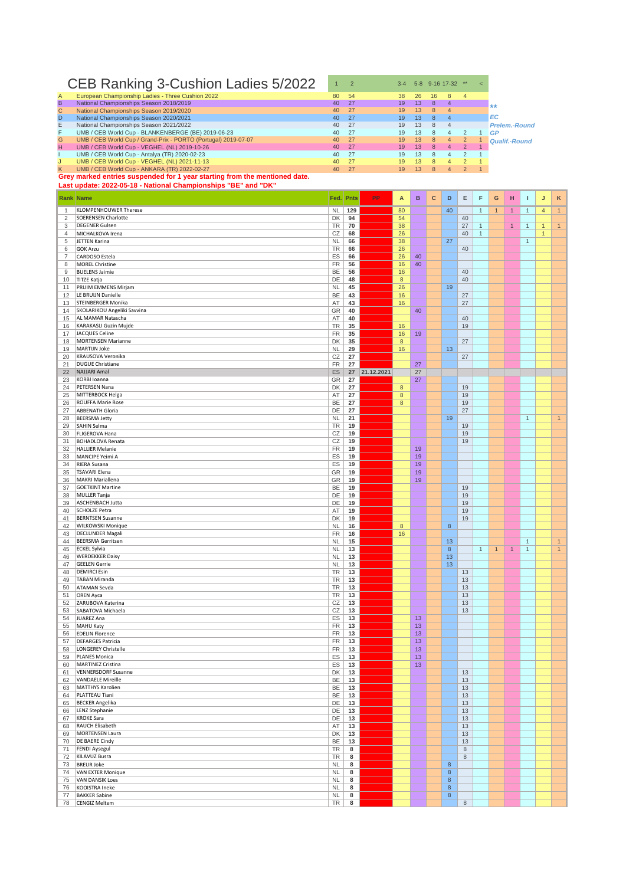## CEB Ranking 3-Cushion Ladies  $5/2022$   $12$   $2$   $34$   $58$   $9-16$  17-32  $\text{m/s}$

| A            | European Championship Ladies - Three Cushion 2022                         | 80              | 54   | 38 | 26 | 16 | 8              | $\overline{4}$ |                      |
|--------------|---------------------------------------------------------------------------|-----------------|------|----|----|----|----------------|----------------|----------------------|
| B.           | National Championships Season 2018/2019                                   | 40              | 27   | 19 | 13 | 8  | 4              |                | $+ +$                |
| $\mathsf{C}$ | National Championships Season 2019/2020                                   | 40 <sup>°</sup> | - 27 | 19 | 13 | 8  | $\overline{4}$ |                |                      |
| D            | National Championships Season 2020/2021                                   | 40              | - 27 | 19 | 13 | 8. | 4 <sup>7</sup> |                | EC.                  |
| E.           | National Championships Season 2021/2022                                   | 40              | 27   | 19 | 13 | 8  |                |                | <b>Prelem.-Round</b> |
| F.           | UMB / CEB World Cup - BLANKENBERGE (BE) 2019-06-23                        | 40              | -27  | 19 | 13 | 8  | 4              |                | GP                   |
| G.           | UMB / CEB World Cup / Grand-Prix - PORTO (Portugal) 2019-07-07            | $40^{\circ}$    | 27   | 19 | 13 | 8  | $\overline{4}$ | 2              | Qualif.-Round        |
| H.           | UMB / CEB World Cup - VEGHEL (NL) 2019-10-26                              | 40              | 27   | 19 | 13 | 8  | 4              | 2              |                      |
|              | UMB / CEB World Cup - Antalva (TR) 2020-02-23                             | 40              | -27  | 19 | 13 | 8  | 4              |                |                      |
|              | UMB / CEB World Cup - VEGHEL (NL) 2021-11-13                              | 40 <sup>°</sup> | 27   | 19 | 13 |    | Δ.             |                |                      |
| K.           | UMB / CEB World Cup - ANKARA (TR) 2022-02-27                              | 40              | 27   | 19 | 13 |    | $\overline{a}$ |                |                      |
|              | Grey marked entries suspended for 1 year starting from the mentioned date |                 |      |    |    |    |                |                |                      |

## **ey marked entries suspended for 1 year starting from the**

|                   | Last update: 2022-05-18 - National Championships "BE" and "DK" |                        |             |               |                  |          |              |                  |             |              |                |                |                              |                |                              |
|-------------------|----------------------------------------------------------------|------------------------|-------------|---------------|------------------|----------|--------------|------------------|-------------|--------------|----------------|----------------|------------------------------|----------------|------------------------------|
|                   | <b>Rank Name</b>                                               | Fed.                   | <b>Pnts</b> | PP            | A                | B        | $\mathbf{C}$ | D                | Е           | F            | G              | н              | т                            | J              | Κ                            |
|                   |                                                                |                        |             |               |                  |          |              |                  |             |              |                |                |                              |                |                              |
| $\mathbf{1}$<br>2 | KLOMPENHOUWER Therese<br><b>SOERENSEN Charlotte</b>            | <b>NL</b><br>DK        | 129<br>94   |               | 80<br>54         |          |              | 40               | 40          | $\mathbf{1}$ | $\overline{1}$ | $\overline{1}$ | $\mathbf{1}$                 | $\overline{4}$ | $\mathbf{1}$                 |
| 3                 | <b>DEGENER Gulsen</b>                                          | TR                     | 70          |               | 38               |          |              |                  | 27          | $\mathbf{1}$ |                | $\mathbf{1}$   | $\mathbf{1}$                 | $\mathbf{1}$   | 1                            |
| 4                 | MICHALKOVA Irena                                               | CZ                     | 68          |               | 26               |          |              |                  | 40          | $\mathbf{1}$ |                |                |                              | $\mathbf{1}$   |                              |
| 5                 | JETTEN Karina                                                  | <b>NL</b>              | 66          |               | 38               |          |              | 27               |             |              |                |                | $\mathbf{1}$                 |                |                              |
| 6                 | <b>GOK Arzu</b>                                                | TR                     | 66          |               | 26               |          |              |                  | 40          |              |                |                |                              |                |                              |
| 7                 | CARDOSO Estela                                                 | ES                     | 66          |               | 26               | 40       |              |                  |             |              |                |                |                              |                |                              |
| 8<br>9            | <b>MOREL Christine</b>                                         | FR                     | 56          |               | 16               | 40       |              |                  | 40          |              |                |                |                              |                |                              |
| 10                | <b>BUELENS Jaimie</b><br>TITZE Katja                           | BE<br>DE               | 56<br>48    |               | 16<br>$\bf 8$    |          |              |                  | 40          |              |                |                |                              |                |                              |
| 11                | PRUIM EMMENS Mirjam                                            | <b>NL</b>              | 45          |               | 26               |          |              | 19               |             |              |                |                |                              |                |                              |
| 12                | LE BRUIJN Danielle                                             | BE                     | 43          |               | 16               |          |              |                  | 27          |              |                |                |                              |                |                              |
| 13                | STEINBERGER Monika                                             | AT                     | 43          |               | 16               |          |              |                  | 27          |              |                |                |                              |                |                              |
| 14                | SKOLARIKOU Angeliki Savvina                                    | GR                     | 40          |               |                  | 40       |              |                  |             |              |                |                |                              |                |                              |
| 15<br>16          | AL MAMAR Natascha<br>KARAKASLI Guzin Mujde                     | AT<br>TR               | 40<br>35    |               | 16               |          |              |                  | 40<br>19    |              |                |                |                              |                |                              |
| 17                | JACQUES Celine                                                 | FR                     | 35          |               | 16               | 19       |              |                  |             |              |                |                |                              |                |                              |
| 18                | <b>MORTENSEN Marianne</b>                                      | DK                     | 35          |               | 8                |          |              |                  | 27          |              |                |                |                              |                |                              |
| 19                | MARTIJN Joke                                                   | <b>NL</b>              | 29          |               | 16               |          |              | 13               |             |              |                |                |                              |                |                              |
| 20                | KRAUSOVA Veronika                                              | CZ                     | 27          |               |                  |          |              |                  | 27          |              |                |                |                              |                |                              |
| 21                | <b>DUGUE Christiane</b>                                        | FR                     | 27          |               |                  | 27       |              |                  |             |              |                |                |                              |                |                              |
| 22                | <b>NAJJARI Amal</b><br>KORBI Ioanna                            | ES<br>GR               | 27          | 27 21.12.2021 |                  | 27       |              |                  |             |              |                |                |                              |                |                              |
| 23<br>24          | PETERSEN Nana                                                  | DK                     | 27          |               | $\bf 8$          | 27       |              |                  | 19          |              |                |                |                              |                |                              |
| 25                | MITTERBOCK Helga                                               | AT                     | 27          |               | $\bf8$           |          |              |                  | 19          |              |                |                |                              |                |                              |
| 26                | <b>ROUFFA Marie Rose</b>                                       | BE                     | 27          |               | $\boldsymbol{8}$ |          |              |                  | 19          |              |                |                |                              |                |                              |
| 27                | <b>ABBENATH Gloria</b>                                         | DE                     | 27          |               |                  |          |              |                  | 27          |              |                |                |                              |                |                              |
| 28                | <b>BEERSMA Jetty</b>                                           | <b>NL</b>              | 21          |               |                  |          |              | 19               |             |              |                |                | $\mathbf{1}$                 |                | 1                            |
| 29                | SAHIN Selma                                                    | TR                     | 19          |               |                  |          |              |                  | 19          |              |                |                |                              |                |                              |
| 30<br>31          | FLIGEROVA Hana<br><b>BOHADLOVA Renata</b>                      | CZ<br>CZ               | 19<br>19    |               |                  |          |              |                  | 19<br>19    |              |                |                |                              |                |                              |
| 32                | <b>HALLIER Melanie</b>                                         | FR                     | 19          |               |                  | 19       |              |                  |             |              |                |                |                              |                |                              |
| 33                | MANCIPE Yeimi A                                                | ES                     | 19          |               |                  | 19       |              |                  |             |              |                |                |                              |                |                              |
| 34                | RIERA Susana                                                   | ES                     | 19          |               |                  | 19       |              |                  |             |              |                |                |                              |                |                              |
| 35                | <b>TSAVARI Elena</b>                                           | GR                     | 19          |               |                  | 19       |              |                  |             |              |                |                |                              |                |                              |
| 36                | MAKRI Mariallena                                               | GR                     | 19          |               |                  | 19       |              |                  |             |              |                |                |                              |                |                              |
| 37<br>38          | <b>GOETKINT Martine</b><br>MULLER Tanja                        | BE<br>DE               | 19<br>19    |               |                  |          |              |                  | 19<br>19    |              |                |                |                              |                |                              |
| 39                | ASCHENBACH Jutta                                               | DE                     | 19          |               |                  |          |              |                  | 19          |              |                |                |                              |                |                              |
| 40                | SCHOLZE Petra                                                  | AT                     | 19          |               |                  |          |              |                  | 19          |              |                |                |                              |                |                              |
| 41                | <b>BERNTSEN Susanne</b>                                        | DK                     | 19          |               |                  |          |              |                  | 19          |              |                |                |                              |                |                              |
| 42                | WILKOWSKI Monique                                              | <b>NL</b>              | 16          |               | $\boldsymbol{8}$ |          |              | 8                |             |              |                |                |                              |                |                              |
| 43                | <b>DECLUNDER Magali</b>                                        | FR                     | 16          |               | 16               |          |              |                  |             |              |                |                |                              |                |                              |
| 44<br>45          | <b>BEERSMA Gerritsen</b><br><b>ECKEL Sylvia</b>                | <b>NL</b><br><b>NL</b> | 15<br>13    |               |                  |          |              | 13<br>8          |             | $\mathbf{1}$ | $\overline{1}$ | $\mathbf{1}$   | $\mathbf{1}$<br>$\mathbf{1}$ |                | $\mathbf{1}$<br>$\mathbf{1}$ |
| 46                | <b>WERDEKKER Daisy</b>                                         | <b>NL</b>              | 13          |               |                  |          |              | 13               |             |              |                |                |                              |                |                              |
| 47                | <b>GEELEN Gerrie</b>                                           | <b>NL</b>              | 13          |               |                  |          |              | 13               |             |              |                |                |                              |                |                              |
| 48                | <b>DEMIRCI Esin</b>                                            | TR                     | 13          |               |                  |          |              |                  | 13          |              |                |                |                              |                |                              |
| 49                | <b>TABAN Miranda</b>                                           | TR                     | 13          |               |                  |          |              |                  | 13          |              |                |                |                              |                |                              |
| 50                | <b>ATAMAN Sevda</b>                                            | TR                     | 13          |               |                  |          |              |                  | 13          |              |                |                |                              |                |                              |
| 51<br>52          | <b>OREN Ayca</b><br>ZARUBOVA Katerina                          | TR<br>CZ               | 13<br>13    |               |                  |          |              |                  | 13<br>13    |              |                |                |                              |                |                              |
| 53                | SABATOVA Michaela                                              | CZ                     | 13          |               |                  |          |              |                  | 13          |              |                |                |                              |                |                              |
| 54                | JUAREZ Ana                                                     | ES                     | 13          |               |                  | 13       |              |                  |             |              |                |                |                              |                |                              |
| 55                | MAHU Katy                                                      | FR                     | 13          |               |                  | 13       |              |                  |             |              |                |                |                              |                |                              |
| 56                | <b>EDELIN Florence</b>                                         | <b>FR</b>              | 13          |               |                  | 13       |              |                  |             |              |                |                |                              |                |                              |
| 57                | <b>DEFARGES Patricia</b>                                       | FR                     | 13          |               |                  | 13       |              |                  |             |              |                |                |                              |                |                              |
| 58<br>59          | <b>LONGEREY Christelle</b><br>PLANES Monica                    | FR<br>ES               | 13<br>13    |               |                  | 13<br>13 |              |                  |             |              |                |                |                              |                |                              |
| 60                | MARTINEZ Cristina                                              | ES                     | 13          |               |                  | 13       |              |                  |             |              |                |                |                              |                |                              |
| 61                | VENNERSDORF Susanne                                            | DK                     | 13          |               |                  |          |              |                  | 13          |              |                |                |                              |                |                              |
| 62                | <b>VANDAELE Mireille</b>                                       | BE                     | 13          |               |                  |          |              |                  | 13          |              |                |                |                              |                |                              |
| 63                | MATTHYS Karolien                                               | BE                     | 13          |               |                  |          |              |                  | 13          |              |                |                |                              |                |                              |
| 64                | PLATTEAU Tiani                                                 | BE                     | 13          |               |                  |          |              |                  | 13          |              |                |                |                              |                |                              |
| 65<br>66          | <b>BECKER Angelika</b><br>LENZ Stephanie                       | DE<br>DE               | 13<br>13    |               |                  |          |              |                  | 13<br>13    |              |                |                |                              |                |                              |
| 67                | <b>KROKE Sara</b>                                              | DE                     | 13          |               |                  |          |              |                  | 13          |              |                |                |                              |                |                              |
| 68                | RAUCH Elisabeth                                                | AT                     | 13          |               |                  |          |              |                  | 13          |              |                |                |                              |                |                              |
| 69                | MORTENSEN Laura                                                | DK                     | 13          |               |                  |          |              |                  | 13          |              |                |                |                              |                |                              |
| 70                | <b>DE BAERE Cindy</b>                                          | BE                     | 13          |               |                  |          |              |                  | 13          |              |                |                |                              |                |                              |
| 71                | <b>FENDI Aysegul</b>                                           | TR                     | 8           |               |                  |          |              |                  | $\,$ 8 $\,$ |              |                |                |                              |                |                              |
| 72<br>73          | KILAVUZ Busra<br><b>BREUR Joke</b>                             | TR<br><b>NL</b>        | 8<br>8      |               |                  |          |              | 8                | $\,8\,$     |              |                |                |                              |                |                              |
| 74                | <b>VAN EXTER Monique</b>                                       | <b>NL</b>              | 8           |               |                  |          |              | $\,$ 8 $\,$      |             |              |                |                |                              |                |                              |
| 75                | <b>VAN DANSIK Loes</b>                                         | <b>NL</b>              | 8           |               |                  |          |              | $\boldsymbol{8}$ |             |              |                |                |                              |                |                              |
| 76                | KOOISTRA Ineke                                                 | <b>NL</b>              | 8           |               |                  |          |              | $\,$ 8 $\,$      |             |              |                |                |                              |                |                              |
| 77                | <b>BAKKER Sabine</b>                                           | <b>NL</b>              | 8           |               |                  |          |              | $\bf 8$          |             |              |                |                |                              |                |                              |
| 78                | CENGIZ Meltem                                                  | TR                     | 8           |               |                  |          |              |                  | $\,8\,$     |              |                |                |                              |                |                              |